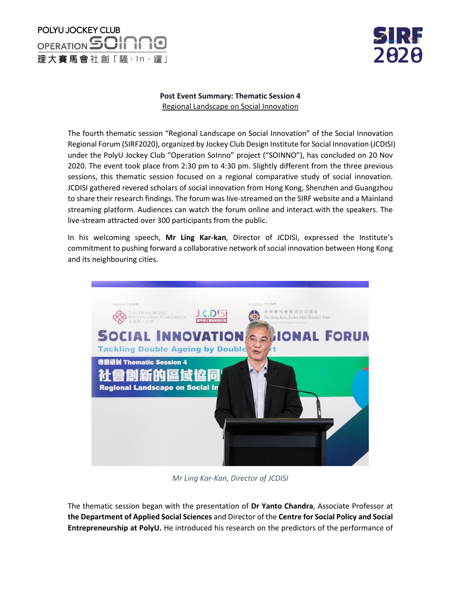

#### **Post Event Summary: Thematic Session 4** Regional Landscape on Social Innovation

The fourth thematic session "Regional Landscape on Social Innovation" of the Social Innovation Regional Forum (SIRF2020), organized by Jockey Club Design Institute for Social Innovation (JCDISI) under the PolyU Jockey Club "Operation SoInno" project ("SOINNO"), has concluded on 20 Nov 2020. The event took place from 2:30 pm to 4:30 pm. Slightly different from the three previous sessions, this thematic session focused on a regional comparative study of social innovation. JCDISI gathered revered scholars of social innovation from Hong Kong, Shenzhen and Guangzhou to share their research findings. The forum was live-streamed on the SIRF website and a Mainland streaming platform. Audiences can watch the forum online and interact with the speakers. The live-stream attracted over 300 participants from the public.

In his welcoming speech, **Mr Ling Kar-kan**, Director of JCDISI, expressed the Institute's commitment to pushing forward a collaborative network of social innovation between Hong Kong and its neighbouring cities.



*Mr Ling Kar-Kan, Director of JCDISI*

The thematic session began with the presentation of **Dr Yanto Chandra**, Associate Professor at **the Department of Applied Social Sciences** and Director of the **Centre for Social Policy and Social Entrepreneurship at PolyU.** He introduced his research on the predictors of the performance of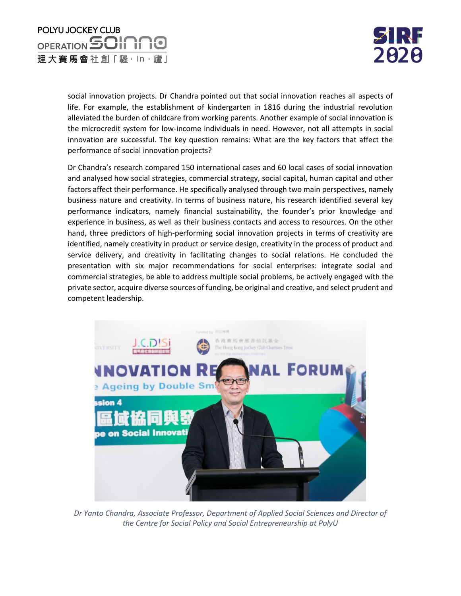

social innovation projects. Dr Chandra pointed out that social innovation reaches all aspects of life. For example, the establishment of kindergarten in 1816 during the industrial revolution alleviated the burden of childcare from working parents. Another example of social innovation is the microcredit system for low-income individuals in need. However, not all attempts in social innovation are successful. The key question remains: What are the key factors that affect the performance of social innovation projects?

Dr Chandra's research compared 150 international cases and 60 local cases of social innovation and analysed how social strategies, commercial strategy, social capital, human capital and other factors affect their performance. He specifically analysed through two main perspectives, namely business nature and creativity. In terms of business nature, his research identified several key performance indicators, namely financial sustainability, the founder's prior knowledge and experience in business, as well as their business contacts and access to resources. On the other hand, three predictors of high-performing social innovation projects in terms of creativity are identified, namely creativity in product or service design, creativity in the process of product and service delivery, and creativity in facilitating changes to social relations. He concluded the presentation with six major recommendations for social enterprises: integrate social and commercial strategies, be able to address multiple social problems, be actively engaged with the private sector, acquire diverse sources of funding, be original and creative, and select prudent and competent leadership.



*Dr Yanto Chandra, Associate Professor, Department of Applied Social Sciences and Director of the Centre for Social Policy and Social Entrepreneurship at PolyU*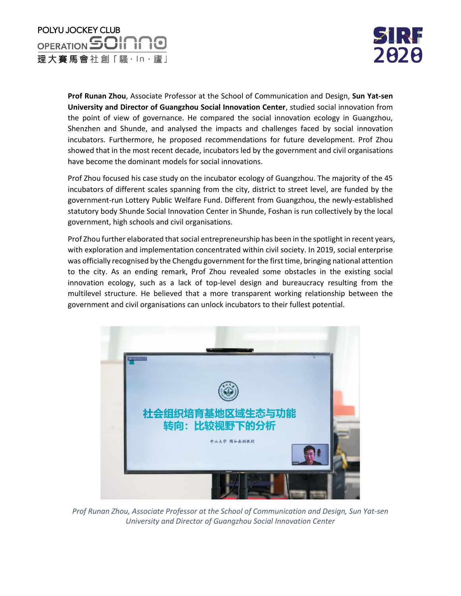

**Prof Runan Zhou**, Associate Professor at the School of Communication and Design, **Sun Yat-sen University and Director of Guangzhou Social Innovation Center**, studied social innovation from the point of view of governance. He compared the social innovation ecology in Guangzhou, Shenzhen and Shunde, and analysed the impacts and challenges faced by social innovation incubators. Furthermore, he proposed recommendations for future development. Prof Zhou showed that in the most recent decade, incubators led by the government and civil organisations have become the dominant models for social innovations.

Prof Zhou focused his case study on the incubator ecology of Guangzhou. The majority of the 45 incubators of different scales spanning from the city, district to street level, are funded by the government-run Lottery Public Welfare Fund. Different from Guangzhou, the newly-established statutory body Shunde Social Innovation Center in Shunde, Foshan is run collectively by the local government, high schools and civil organisations.

Prof Zhou further elaborated that social entrepreneurship has been in the spotlight in recent years, with exploration and implementation concentrated within civil society. In 2019, social enterprise was officially recognised by the Chengdu government for the first time, bringing national attention to the city. As an ending remark, Prof Zhou revealed some obstacles in the existing social innovation ecology, such as a lack of top-level design and bureaucracy resulting from the multilevel structure. He believed that a more transparent working relationship between the government and civil organisations can unlock incubators to their fullest potential.



*Prof Runan Zhou, Associate Professor at the School of Communication and Design, Sun Yat-sen University and Director of Guangzhou Social Innovation Center*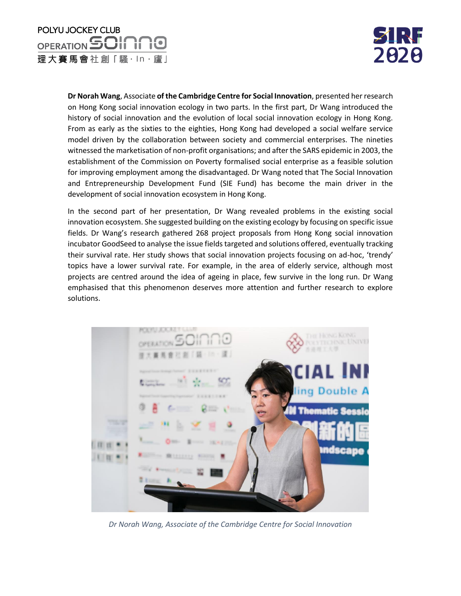

**Dr Norah Wang**, Associate **of the Cambridge Centre for Social Innovation**, presented her research on Hong Kong social innovation ecology in two parts. In the first part, Dr Wang introduced the history of social innovation and the evolution of local social innovation ecology in Hong Kong. From as early as the sixties to the eighties, Hong Kong had developed a social welfare service model driven by the collaboration between society and commercial enterprises. The nineties witnessed the marketisation of non-profit organisations; and after the SARS epidemic in 2003, the establishment of the Commission on Poverty formalised social enterprise as a feasible solution for improving employment among the disadvantaged. Dr Wang noted that The Social Innovation and Entrepreneurship Development Fund (SIE Fund) has become the main driver in the development of social innovation ecosystem in Hong Kong.

In the second part of her presentation, Dr Wang revealed problems in the existing social innovation ecosystem. She suggested building on the existing ecology by focusing on specific issue fields. Dr Wang's research gathered 268 project proposals from Hong Kong social innovation incubator GoodSeed to analyse the issue fields targeted and solutions offered, eventually tracking their survival rate. Her study shows that social innovation projects focusing on ad-hoc, 'trendy' topics have a lower survival rate. For example, in the area of elderly service, although most projects are centred around the idea of ageing in place, few survive in the long run. Dr Wang emphasised that this phenomenon deserves more attention and further research to explore solutions.



*Dr Norah Wang, Associate of the Cambridge Centre for Social Innovation*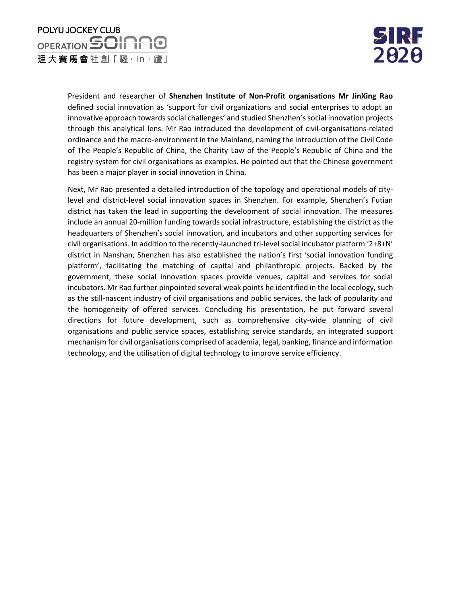

President and researcher of **Shenzhen Institute of Non-Profit organisations Mr JinXing Rao** defined social innovation as 'support for civil organizations and social enterprises to adopt an innovative approach towards social challenges' and studied Shenzhen's social innovation projects through this analytical lens. Mr Rao introduced the development of civil-organisations-related ordinance and the macro-environment in the Mainland, naming the introduction of the Civil Code of The People's Republic of China, the Charity Law of the People's Republic of China and the registry system for civil organisations as examples. He pointed out that the Chinese government has been a major player in social innovation in China.

Next, Mr Rao presented a detailed introduction of the topology and operational models of citylevel and district-level social innovation spaces in Shenzhen. For example, Shenzhen's Futian district has taken the lead in supporting the development of social innovation. The measures include an annual 20-million funding towards social infrastructure, establishing the district as the headquarters of Shenzhen's social innovation, and incubators and other supporting services for civil organisations. In addition to the recently-launched tri-level social incubator platform '2+8+N' district in Nanshan, Shenzhen has also established the nation's first 'social innovation funding platform', facilitating the matching of capital and philanthropic projects. Backed by the government, these social innovation spaces provide venues, capital and services for social incubators. Mr Rao further pinpointed several weak points he identified in the local ecology, such as the still-nascent industry of civil organisations and public services, the lack of popularity and the homogeneity of offered services. Concluding his presentation, he put forward several directions for future development, such as comprehensive city-wide planning of civil organisations and public service spaces, establishing service standards, an integrated support mechanism for civil organisations comprised of academia, legal, banking, finance and information technology, and the utilisation of digital technology to improve service efficiency.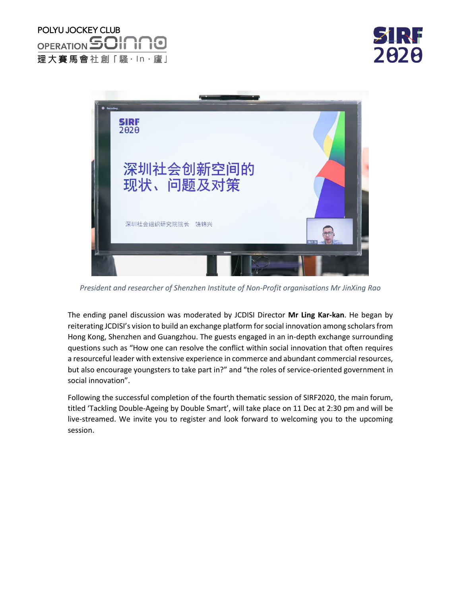N. 2020



*President and researcher of Shenzhen Institute of Non-Profit organisations Mr JinXing Rao*

The ending panel discussion was moderated by JCDISI Director **Mr Ling Kar-kan**. He began by reiterating JCDISI's vision to build an exchange platform for social innovation among scholars from Hong Kong, Shenzhen and Guangzhou. The guests engaged in an in-depth exchange surrounding questions such as "How one can resolve the conflict within social innovation that often requires a resourceful leader with extensive experience in commerce and abundant commercial resources, but also encourage youngsters to take part in?" and "the roles of service-oriented government in social innovation".

Following the successful completion of the fourth thematic session of SIRF2020, the main forum, titled 'Tackling Double-Ageing by Double Smart', will take place on 11 Dec at 2:30 pm and will be live-streamed. We invite you to register and look forward to welcoming you to the upcoming session.